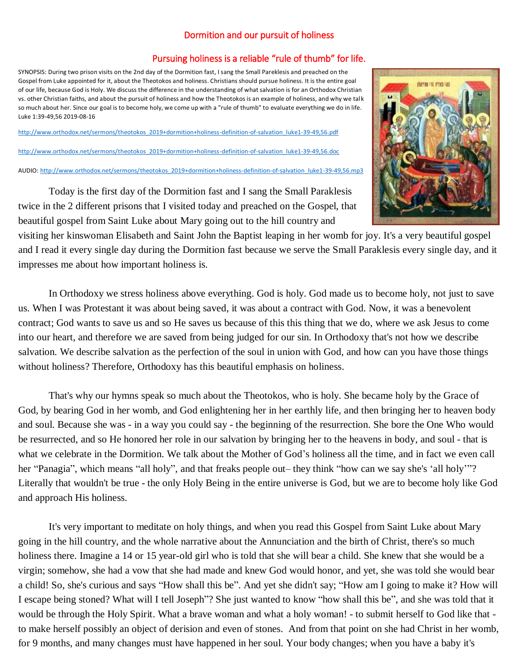## Dormition and our pursuit of holiness

## Pursuing holiness is a reliable "rule of thumb" for life.

SYNOPSIS: During two prison visits on the 2nd day of the Dormition fast, I sang the Small Pareklesis and preached on the Gospel from Luke appointed for it, about the Theotokos and holiness. Christians should pursue holiness. It is the entire goal of our life, because God is Holy. We discuss the difference in the understanding of what salvation is for an Orthodox Christian vs. other Christian faiths, and about the pursuit of holiness and how the Theotokos is an example of holiness, and why we talk so much about her. Since our goal is to become holy, we come up with a "rule of thumb" to evaluate everything we do in life. Luke 1:39-49,56 2019-08-16

[http://www.orthodox.net/sermons/theotokos\\_2019+dormition+holiness-definition-of-salvation\\_luke1-39-49,56.pdf](https://www.orthodox.net//sermons/theotokos_2019+dormition+holiness-definition-of-salvation_luke1-39-49,56.pdf)

[http://www.orthodox.net/sermons/theotokos\\_2019+dormition+holiness-definition-of-salvation\\_luke1-39-49,56.doc](https://www.orthodox.net//sermons/theotokos_2019+dormition+holiness-definition-of-salvation_luke1-39-49,56.doc)

AUDIO[: http://www.orthodox.net/sermons/theotokos\\_2019+dormition+holiness-definition-of-salvation\\_luke1-39-49,56.mp3](https://www.orthodox.net//sermons/theotokos_2019+dormition+holiness-definition-of-salvation_luke1-39-49,56.mp3)



Today is the first day of the Dormition fast and I sang the Small Paraklesis twice in the 2 different prisons that I visited today and preached on the Gospel, that beautiful gospel from Saint Luke about Mary going out to the hill country and

visiting her kinswoman Elisabeth and Saint John the Baptist leaping in her womb for joy. It's a very beautiful gospel and I read it every single day during the Dormition fast because we serve the Small Paraklesis every single day, and it impresses me about how important holiness is.

In Orthodoxy we stress holiness above everything. God is holy. God made us to become holy, not just to save us. When I was Protestant it was about being saved, it was about a contract with God. Now, it was a benevolent contract; God wants to save us and so He saves us because of this this thing that we do, where we ask Jesus to come into our heart, and therefore we are saved from being judged for our sin. In Orthodoxy that's not how we describe salvation. We describe salvation as the perfection of the soul in union with God, and how can you have those things without holiness? Therefore, Orthodoxy has this beautiful emphasis on holiness.

That's why our hymns speak so much about the Theotokos, who is holy. She became holy by the Grace of God, by bearing God in her womb, and God enlightening her in her earthly life, and then bringing her to heaven body and soul. Because she was - in a way you could say - the beginning of the resurrection. She bore the One Who would be resurrected, and so He honored her role in our salvation by bringing her to the heavens in body, and soul - that is what we celebrate in the Dormition. We talk about the Mother of God's holiness all the time, and in fact we even call her "Panagia", which means "all holy", and that freaks people out– they think "how can we say she's 'all holy"? Literally that wouldn't be true - the only Holy Being in the entire universe is God, but we are to become holy like God and approach His holiness.

It's very important to meditate on holy things, and when you read this Gospel from Saint Luke about Mary going in the hill country, and the whole narrative about the Annunciation and the birth of Christ, there's so much holiness there. Imagine a 14 or 15 year-old girl who is told that she will bear a child. She knew that she would be a virgin; somehow, she had a vow that she had made and knew God would honor, and yet, she was told she would bear a child! So, she's curious and says "How shall this be". And yet she didn't say; "How am I going to make it? How will I escape being stoned? What will I tell Joseph"? She just wanted to know "how shall this be", and she was told that it would be through the Holy Spirit. What a brave woman and what a holy woman! - to submit herself to God like that to make herself possibly an object of derision and even of stones. And from that point on she had Christ in her womb, for 9 months, and many changes must have happened in her soul. Your body changes; when you have a baby it's